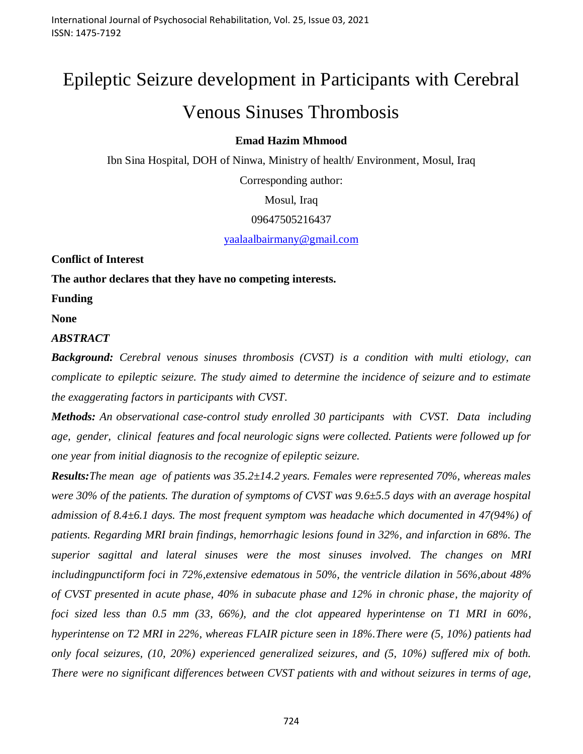# Epileptic Seizure development in Participants with Cerebral Venous Sinuses Thrombosis

## **Emad Hazim Mhmood**

Ibn Sina Hospital, DOH of Ninwa, Ministry of health/ Environment, Mosul, Iraq

Corresponding author:

Mosul, Iraq

09647505216437

[yaalaalbairmany@gmail.com](mailto:yaalaalbairmany@gmail.com)

**Conflict of Interest**

**The author declares that they have no competing interests.**

**Funding**

**None**

*ABSTRACT*

**Background:** Cerebral venous sinuses thrombosis (CVST) is a condition with multi etiology, can *complicate to epileptic seizure. The study aimed to determine the incidence of seizure and to estimate the exaggerating factors in participants with CVST.*

*Methods: An observational case-control study enrolled 30 participants with CVST. Data including age, gender, clinical features and focal neurologic signs were collected. Patients were followed up for one year from initial diagnosis to the recognize of epileptic seizure.*

*Results:The mean age of patients was 35.2±14.2 years. Females were represented 70%, whereas males were 30% of the patients. The duration of symptoms of CVST was 9.6±5.5 days with an average hospital admission of 8.4±6.1 days. The most frequent symptom was headache which documented in 47(94%) of patients. Regarding MRI brain findings, hemorrhagic lesions found in 32%, and infarction in 68%. The superior sagittal and lateral sinuses were the most sinuses involved. The changes on MRI includingpunctiform foci in 72%,extensive edematous in 50%, the ventricle dilation in 56%,about 48% of CVST presented in acute phase, 40% in subacute phase and 12% in chronic phase, the majority of foci sized less than 0.5 mm (33, 66%), and the clot appeared hyperintense on T1 MRI in 60%, hyperintense on T2 MRI in 22%, whereas FLAIR picture seen in 18%.There were (5, 10%) patients had only focal seizures, (10, 20%) experienced generalized seizures, and (5, 10%) suffered mix of both. There were no significant differences between CVST patients with and without seizures in terms of age,*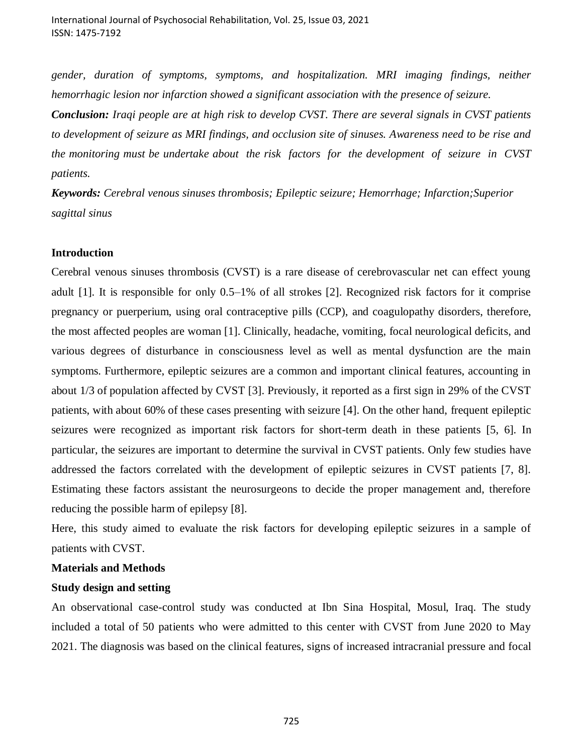*gender, duration of symptoms, symptoms, and hospitalization. MRI imaging findings, neither hemorrhagic lesion nor infarction showed a significant association with the presence of seizure.* 

*Conclusion: Iraqi people are at high risk to develop CVST. There are several signals in CVST patients to development of seizure as MRI findings, and occlusion site of sinuses. Awareness need to be rise and the monitoring must be undertake about the risk factors for the development of seizure in CVST patients.*

*Keywords: Cerebral venous sinuses thrombosis; Epileptic seizure; Hemorrhage; Infarction;Superior sagittal sinus*

#### **Introduction**

Cerebral venous sinuses thrombosis (CVST) is a rare disease of cerebrovascular net can effect young adult [1]. It is responsible for only 0.5–1% of all strokes [2]. Recognized risk factors for it comprise pregnancy or puerperium, using oral contraceptive pills (CCP), and coagulopathy disorders, therefore, the most affected peoples are woman [1]. Clinically, headache, vomiting, focal neurological deficits, and various degrees of disturbance in consciousness level as well as mental dysfunction are the main symptoms. Furthermore, epileptic seizures are a common and important clinical features, accounting in about 1/3 of population affected by CVST [3]. Previously, it reported as a first sign in 29% of the CVST patients, with about 60% of these cases presenting with seizure [4]. On the other hand, frequent epileptic seizures were recognized as important risk factors for short-term death in these patients [5, 6]. In particular, the seizures are important to determine the survival in CVST patients. Only few studies have addressed the factors correlated with the development of epileptic seizures in CVST patients [7, 8]. Estimating these factors assistant the neurosurgeons to decide the proper management and, therefore reducing the possible harm of epilepsy [8].

Here, this study aimed to evaluate the risk factors for developing epileptic seizures in a sample of patients with CVST.

## **Materials and Methods**

#### **Study design and setting**

An observational case-control study was conducted at Ibn Sina Hospital, Mosul, Iraq. The study included a total of 50 patients who were admitted to this center with CVST from June 2020 to May 2021. The diagnosis was based on the clinical features, signs of increased intracranial pressure and focal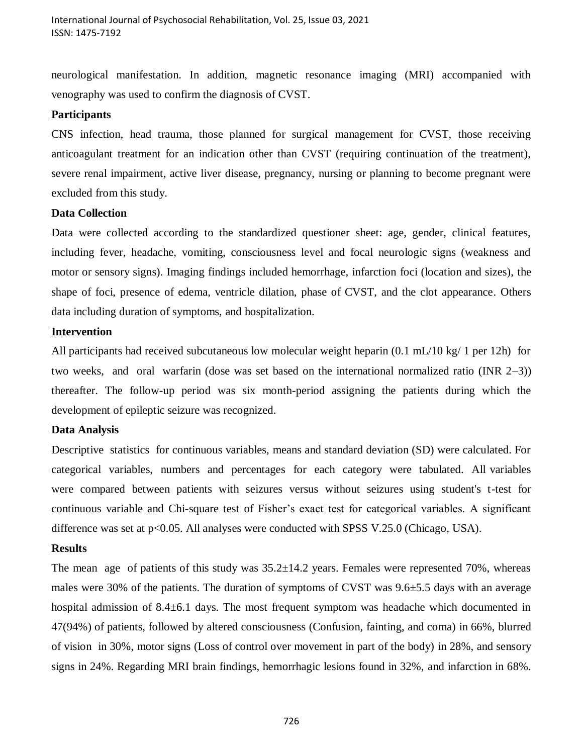neurological manifestation. In addition, magnetic resonance imaging (MRI) accompanied with venography was used to confirm the diagnosis of CVST.

#### **Participants**

CNS infection, head trauma, those planned for surgical management for CVST, those receiving anticoagulant treatment for an indication other than CVST (requiring continuation of the treatment), severe renal impairment, active liver disease, pregnancy, nursing or planning to become pregnant were excluded from this study.

## **Data Collection**

Data were collected according to the standardized questioner sheet: age, gender, clinical features, including fever, headache, vomiting, consciousness level and focal neurologic signs (weakness and motor or sensory signs). Imaging findings included hemorrhage, infarction foci (location and sizes), the shape of foci, presence of edema, ventricle dilation, phase of CVST, and the clot appearance. Others data including duration of symptoms, and hospitalization.

## **Intervention**

All participants had received subcutaneous low molecular weight heparin (0.1 mL/10 kg/ 1 per 12h) for two weeks, and oral warfarin (dose was set based on the international normalized ratio (INR 2–3)) thereafter. The follow-up period was six month-period assigning the patients during which the development of epileptic seizure was recognized.

## **Data Analysis**

Descriptive statistics for continuous variables, means and standard deviation (SD) were calculated. For categorical variables, numbers and percentages for each category were tabulated. All variables were compared between patients with seizures versus without seizures using student's t-test for continuous variable and Chi-square test of Fisher's exact test for categorical variables. A significant difference was set at p<0.05. All analyses were conducted with SPSS V.25.0 (Chicago, USA).

## **Results**

The mean age of patients of this study was  $35.2 \pm 14.2$  years. Females were represented 70%, whereas males were 30% of the patients. The duration of symptoms of CVST was  $9.6\pm5.5$  days with an average hospital admission of 8.4 $\pm$ 6.1 days. The most frequent symptom was headache which documented in 47(94%) of patients, followed by altered consciousness (Confusion, fainting, and coma) in 66%, blurred of vision in 30%, motor signs (Loss of control over movement in part of the body) in 28%, and sensory signs in 24%. Regarding MRI brain findings, hemorrhagic lesions found in 32%, and infarction in 68%.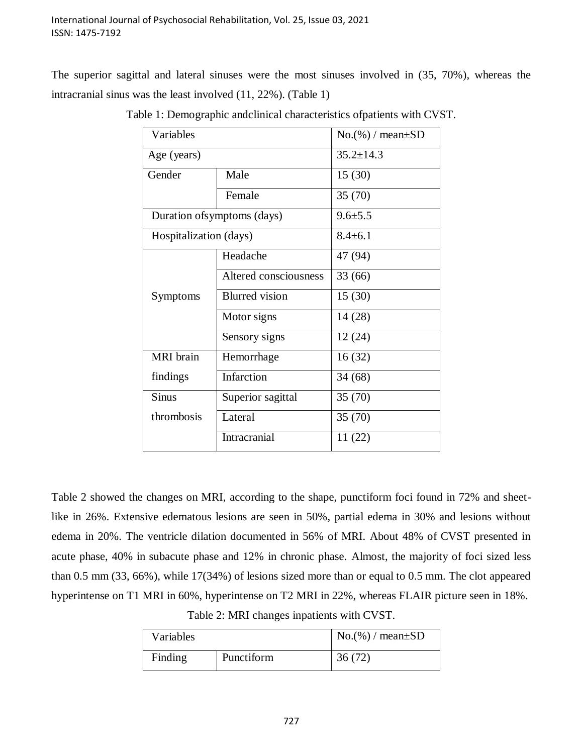The superior sagittal and lateral sinuses were the most sinuses involved in (35, 70%), whereas the intracranial sinus was the least involved (11, 22%). (Table 1)

| Variables                   |                       | $No.$ (%) / mean $\pm SD$ |  |  |
|-----------------------------|-----------------------|---------------------------|--|--|
| Age (years)                 |                       | $35.2 \pm 14.3$           |  |  |
| Gender                      | Male                  | 15(30)                    |  |  |
|                             | Female                | 35(70)                    |  |  |
| Duration of symptoms (days) |                       | $9.6 \pm 5.5$             |  |  |
| Hospitalization (days)      |                       | $8.4 \pm 6.1$             |  |  |
|                             | Headache              | 47 (94)                   |  |  |
|                             | Altered consciousness | 33(66)                    |  |  |
| Symptoms                    | <b>Blurred</b> vision | 15(30)                    |  |  |
|                             | Motor signs           | 14(28)                    |  |  |
|                             | Sensory signs         | 12(24)                    |  |  |
| <b>MRI</b> brain            | Hemorrhage            | 16(32)                    |  |  |
| findings                    | Infarction            | 34(68)                    |  |  |
| <b>Sinus</b>                | Superior sagittal     | 35(70)                    |  |  |
| thrombosis                  | Lateral               | 35(70)                    |  |  |
|                             | Intracranial          | 11(22)                    |  |  |

Table 1: Demographic andclinical characteristics ofpatients with CVST.

Table 2 showed the changes on MRI, according to the shape, punctiform foci found in 72% and sheetlike in 26%. Extensive edematous lesions are seen in 50%, partial edema in 30% and lesions without edema in 20%. The ventricle dilation documented in 56% of MRI. About 48% of CVST presented in acute phase, 40% in subacute phase and 12% in chronic phase. Almost, the majority of foci sized less than 0.5 mm (33, 66%), while 17(34%) of lesions sized more than or equal to 0.5 mm. The clot appeared hyperintense on T1 MRI in 60%, hyperintense on T2 MRI in 22%, whereas FLAIR picture seen in 18%.

Table 2: MRI changes inpatients with CVST.

| <b>Variables</b> |            | $\log_2(96)$ / mean $\pm$ SD |  |  |
|------------------|------------|------------------------------|--|--|
| Finding          | Punctiform | 36(72)                       |  |  |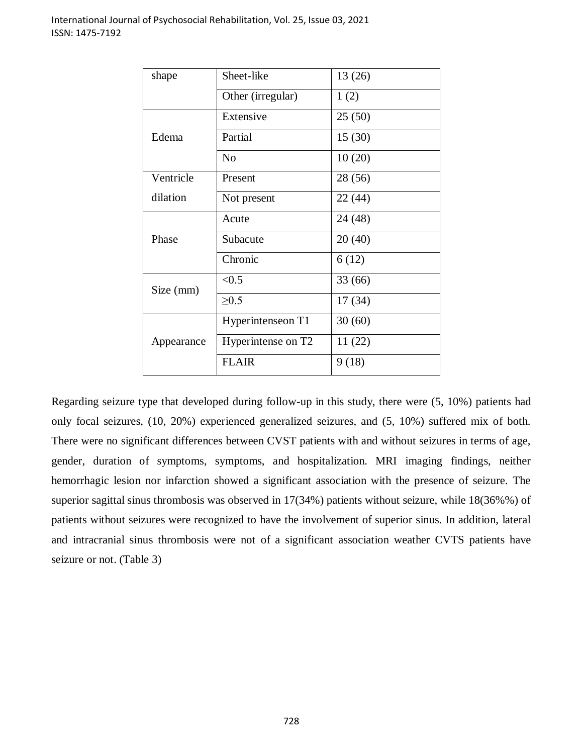| shape      | Sheet-like         | 13(26)  |  |  |
|------------|--------------------|---------|--|--|
|            | Other (irregular)  | 1(2)    |  |  |
| Edema      | Extensive          | 25(50)  |  |  |
|            | Partial            | 15(30)  |  |  |
|            | $\rm No$           | 10(20)  |  |  |
| Ventricle  | Present            | 28 (56) |  |  |
| dilation   | Not present        | 22 (44) |  |  |
| Phase      | Acute              | 24 (48) |  |  |
|            | Subacute           | 20(40)  |  |  |
|            | Chronic            | 6(12)   |  |  |
| Size (mm)  | < 0.5              | 33(66)  |  |  |
|            | $\geq 0.5$         | 17(34)  |  |  |
| Appearance | Hyperintenseon T1  | 30(60)  |  |  |
|            | Hyperintense on T2 | 11(22)  |  |  |
|            | <b>FLAIR</b>       | 9(18)   |  |  |

Regarding seizure type that developed during follow-up in this study, there were (5, 10%) patients had only focal seizures, (10, 20%) experienced generalized seizures, and (5, 10%) suffered mix of both. There were no significant differences between CVST patients with and without seizures in terms of age, gender, duration of symptoms, symptoms, and hospitalization. MRI imaging findings, neither hemorrhagic lesion nor infarction showed a significant association with the presence of seizure. The superior sagittal sinus thrombosis was observed in 17(34%) patients without seizure, while 18(36%%) of patients without seizures were recognized to have the involvement of superior sinus. In addition, lateral and intracranial sinus thrombosis were not of a significant association weather CVTS patients have seizure or not. (Table 3)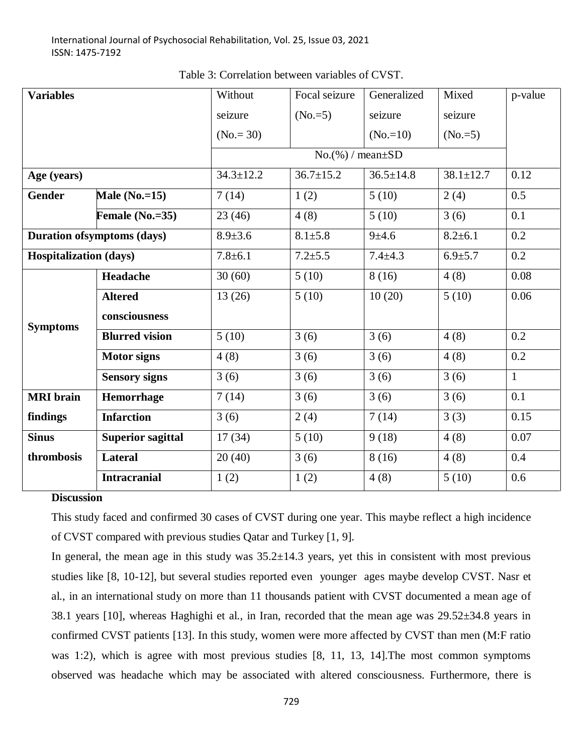| <b>Variables</b>                   |                          | Without                | Focal seizure   | Generalized        | Mixed           | p-value      |
|------------------------------------|--------------------------|------------------------|-----------------|--------------------|-----------------|--------------|
|                                    |                          | seizure                | $(No.=5)$       | seizure            | seizure         |              |
|                                    |                          | $(No = 30)$            |                 | $(No.=10)$         | $(No.=5)$       |              |
|                                    |                          | $No.(%) / mean \pm SD$ |                 |                    |                 |              |
| Age (years)                        |                          | $34.3 \pm 12.2$        | $36.7 \pm 15.2$ | $36.5 \pm 14.8$    | $38.1 \pm 12.7$ | 0.12         |
| <b>Gender</b>                      | Male $(No.=15)$          | 7(14)                  | 1(2)            | 5(10)              | 2(4)            | 0.5          |
|                                    | Female $(No.=35)$        | 23(46)                 | 4(8)            | $\overline{5(10)}$ | 3(6)            | 0.1          |
| <b>Duration of symptoms (days)</b> |                          | $8.9 \pm 3.6$          | $8.1 \pm 5.8$   | $9 + 4.6$          | $8.2 \pm 6.1$   | 0.2          |
| <b>Hospitalization (days)</b>      |                          | $7.8 \pm 6.1$          | $7.2 + 5.5$     | $7.4 \pm 4.3$      | $6.9{\pm}5.7$   | 0.2          |
| <b>Symptoms</b>                    | Headache                 | 30(60)                 | 5(10)           | 8(16)              | 4(8)            | 0.08         |
|                                    | <b>Altered</b>           | 13(26)                 | 5(10)           | 10(20)             | 5(10)           | 0.06         |
|                                    | consciousness            |                        |                 |                    |                 |              |
|                                    | <b>Blurred vision</b>    | 5(10)                  | 3(6)            | 3(6)               | 4(8)            | 0.2          |
|                                    | <b>Motor signs</b>       | 4(8)                   | 3(6)            | 3(6)               | 4(8)            | 0.2          |
|                                    | <b>Sensory signs</b>     | 3(6)                   | 3(6)            | 3(6)               | 3(6)            | $\mathbf{1}$ |
| <b>MRI</b> brain                   | Hemorrhage               | 7(14)                  | 3(6)            | 3(6)               | 3(6)            | 0.1          |
| findings                           | <b>Infarction</b>        | 3(6)                   | 2(4)            | 7(14)              | 3(3)            | 0.15         |
| <b>Sinus</b>                       | <b>Superior sagittal</b> | 17(34)                 | 5(10)           | 9(18)              | 4(8)            | 0.07         |
| thrombosis                         | <b>Lateral</b>           | 20(40)                 | 3(6)            | 8(16)              | 4(8)            | 0.4          |
|                                    | <b>Intracranial</b>      | 1(2)                   | 1(2)            | 4(8)               | 5(10)           | 0.6          |

Table 3: Correlation between variables of CVST.

#### **Discussion**

This study faced and confirmed 30 cases of CVST during one year. This maybe reflect a high incidence of CVST compared with previous studies Qatar and Turkey [1, 9].

In general, the mean age in this study was  $35.2\pm14.3$  years, yet this in consistent with most previous studies like [8, 10-12], but several studies reported even younger ages maybe develop CVST. Nasr et al., in an international study on more than 11 thousands patient with CVST documented a mean age of 38.1 years [10], whereas Haghighi et al., in Iran, recorded that the mean age was 29.52±34.8 years in confirmed CVST patients [13]. In this study, women were more affected by CVST than men (M:F ratio was 1:2), which is agree with most previous studies [8, 11, 13, 14]. The most common symptoms observed was headache which may be associated with altered consciousness. Furthermore, there is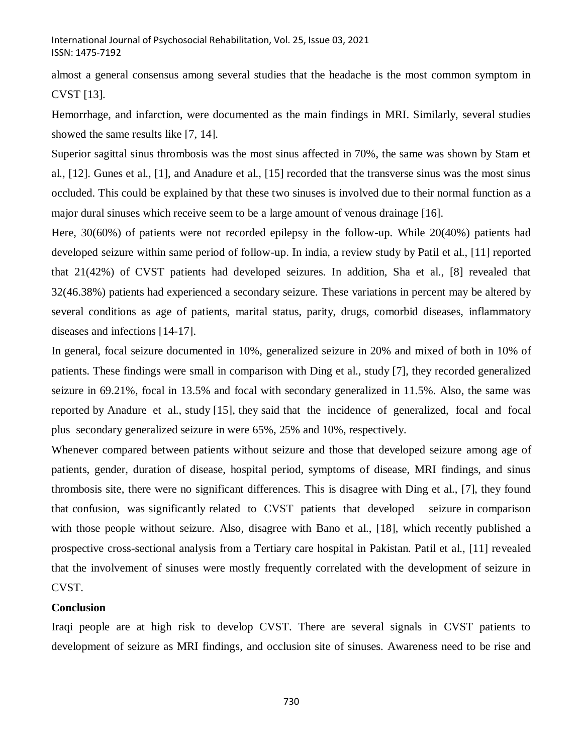almost a general consensus among several studies that the headache is the most common symptom in CVST [13].

Hemorrhage, and infarction, were documented as the main findings in MRI. Similarly, several studies showed the same results like [7, 14].

Superior sagittal sinus thrombosis was the most sinus affected in 70%, the same was shown by Stam et al., [12]. Gunes et al., [1], and Anadure et al., [15] recorded that the transverse sinus was the most sinus occluded. This could be explained by that these two sinuses is involved due to their normal function as a major dural sinuses which receive seem to be a large amount of venous drainage [16].

Here, 30(60%) of patients were not recorded epilepsy in the follow-up. While 20(40%) patients had developed seizure within same period of follow-up. In india, a review study by Patil et al., [11] reported that 21(42%) of CVST patients had developed seizures. In addition, Sha et al., [8] revealed that 32(46.38%) patients had experienced a secondary seizure. These variations in percent may be altered by several conditions as age of patients, marital status, parity, drugs, comorbid diseases, inflammatory diseases and infections [14-17].

In general, focal seizure documented in 10%, generalized seizure in 20% and mixed of both in 10% of patients. These findings were small in comparison with Ding et al., study [7], they recorded generalized seizure in 69.21%, focal in 13.5% and focal with secondary generalized in 11.5%. Also, the same was reported by Anadure et al., study [15], they said that the incidence of generalized, focal and focal plus secondary generalized seizure in were 65%, 25% and 10%, respectively.

Whenever compared between patients without seizure and those that developed seizure among age of patients, gender, duration of disease, hospital period, symptoms of disease, MRI findings, and sinus thrombosis site, there were no significant differences. This is disagree with Ding et al., [7], they found that confusion, was significantly related to CVST patients that developed seizure in comparison with those people without seizure. Also, disagree with Bano et al., [18], which recently published a prospective cross-sectional analysis from a Tertiary care hospital in Pakistan. Patil et al., [11] revealed that the involvement of sinuses were mostly frequently correlated with the development of seizure in CVST.

## **Conclusion**

Iraqi people are at high risk to develop CVST. There are several signals in CVST patients to development of seizure as MRI findings, and occlusion site of sinuses. Awareness need to be rise and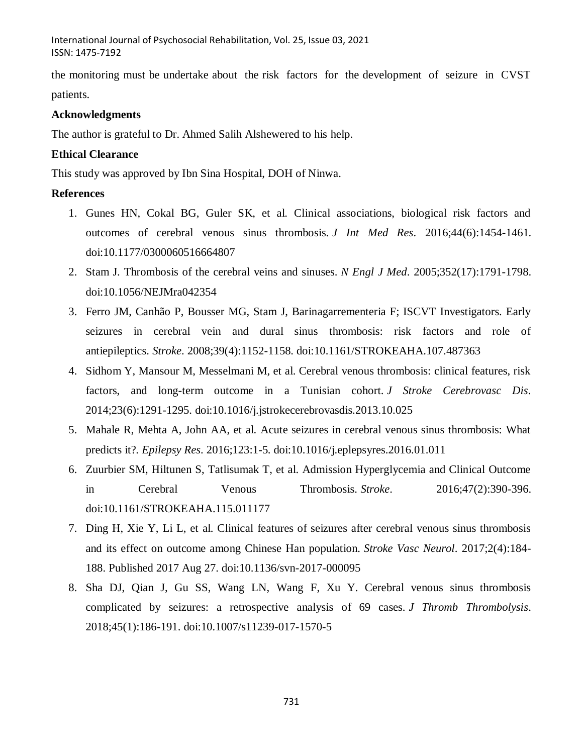International Journal of Psychosocial Rehabilitation, Vol. 25, Issue 03, 2021 ISSN: 1475-7192

the monitoring must be undertake about the risk factors for the development of seizure in CVST patients.

## **Acknowledgments**

The author is grateful to Dr. Ahmed Salih Alshewered to his help.

## **Ethical Clearance**

This study was approved by Ibn Sina Hospital, DOH of Ninwa.

## **References**

- 1. Gunes HN, Cokal BG, Guler SK, et al. Clinical associations, biological risk factors and outcomes of cerebral venous sinus thrombosis. *J Int Med Res*. 2016;44(6):1454-1461. doi:10.1177/0300060516664807
- 2. Stam J. Thrombosis of the cerebral veins and sinuses. *N Engl J Med*. 2005;352(17):1791-1798. doi:10.1056/NEJMra042354
- 3. Ferro JM, Canhão P, Bousser MG, Stam J, Barinagarrementeria F; ISCVT Investigators. Early seizures in cerebral vein and dural sinus thrombosis: risk factors and role of antiepileptics. *Stroke*. 2008;39(4):1152-1158. doi:10.1161/STROKEAHA.107.487363
- 4. Sidhom Y, Mansour M, Messelmani M, et al. Cerebral venous thrombosis: clinical features, risk factors, and long-term outcome in a Tunisian cohort. *J Stroke Cerebrovasc Dis*. 2014;23(6):1291-1295. doi:10.1016/j.jstrokecerebrovasdis.2013.10.025
- 5. Mahale R, Mehta A, John AA, et al. Acute seizures in cerebral venous sinus thrombosis: What predicts it?. *Epilepsy Res*. 2016;123:1-5. doi:10.1016/j.eplepsyres.2016.01.011
- 6. Zuurbier SM, Hiltunen S, Tatlisumak T, et al. Admission Hyperglycemia and Clinical Outcome in Cerebral Venous Thrombosis. *Stroke*. 2016;47(2):390-396. doi:10.1161/STROKEAHA.115.011177
- 7. Ding H, Xie Y, Li L, et al. Clinical features of seizures after cerebral venous sinus thrombosis and its effect on outcome among Chinese Han population. *Stroke Vasc Neurol*. 2017;2(4):184- 188. Published 2017 Aug 27. doi:10.1136/svn-2017-000095
- 8. Sha DJ, Qian J, Gu SS, Wang LN, Wang F, Xu Y. Cerebral venous sinus thrombosis complicated by seizures: a retrospective analysis of 69 cases. *J Thromb Thrombolysis*. 2018;45(1):186-191. doi:10.1007/s11239-017-1570-5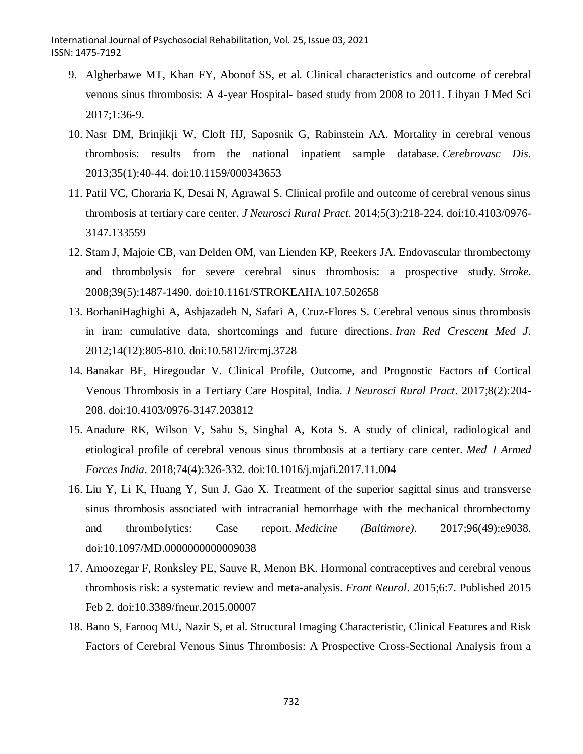- 9. Algherbawe MT, Khan FY, Abonof SS, et al. Clinical characteristics and outcome of cerebral venous sinus thrombosis: A 4-year Hospital- based study from 2008 to 2011. Libyan J Med Sci 2017;1:36-9.
- 10. Nasr DM, Brinjikji W, Cloft HJ, Saposnik G, Rabinstein AA. Mortality in cerebral venous thrombosis: results from the national inpatient sample database. *Cerebrovasc Dis*. 2013;35(1):40-44. doi:10.1159/000343653
- 11. Patil VC, Choraria K, Desai N, Agrawal S. Clinical profile and outcome of cerebral venous sinus thrombosis at tertiary care center. *J Neurosci Rural Pract*. 2014;5(3):218-224. doi:10.4103/0976- 3147.133559
- 12. Stam J, Majoie CB, van Delden OM, van Lienden KP, Reekers JA. Endovascular thrombectomy and thrombolysis for severe cerebral sinus thrombosis: a prospective study. *Stroke*. 2008;39(5):1487-1490. doi:10.1161/STROKEAHA.107.502658
- 13. BorhaniHaghighi A, Ashjazadeh N, Safari A, Cruz-Flores S. Cerebral venous sinus thrombosis in iran: cumulative data, shortcomings and future directions. *Iran Red Crescent Med J*. 2012;14(12):805-810. doi:10.5812/ircmj.3728
- 14. Banakar BF, Hiregoudar V. Clinical Profile, Outcome, and Prognostic Factors of Cortical Venous Thrombosis in a Tertiary Care Hospital, India. *J Neurosci Rural Pract*. 2017;8(2):204- 208. doi:10.4103/0976-3147.203812
- 15. Anadure RK, Wilson V, Sahu S, Singhal A, Kota S. A study of clinical, radiological and etiological profile of cerebral venous sinus thrombosis at a tertiary care center. *Med J Armed Forces India*. 2018;74(4):326-332. doi:10.1016/j.mjafi.2017.11.004
- 16. Liu Y, Li K, Huang Y, Sun J, Gao X. Treatment of the superior sagittal sinus and transverse sinus thrombosis associated with intracranial hemorrhage with the mechanical thrombectomy and thrombolytics: Case report. *Medicine (Baltimore)*. 2017;96(49):e9038. doi:10.1097/MD.0000000000009038
- 17. Amoozegar F, Ronksley PE, Sauve R, Menon BK. Hormonal contraceptives and cerebral venous thrombosis risk: a systematic review and meta-analysis. *Front Neurol*. 2015;6:7. Published 2015 Feb 2. doi:10.3389/fneur.2015.00007
- 18. Bano S, Farooq MU, Nazir S, et al. Structural Imaging Characteristic, Clinical Features and Risk Factors of Cerebral Venous Sinus Thrombosis: A Prospective Cross-Sectional Analysis from a